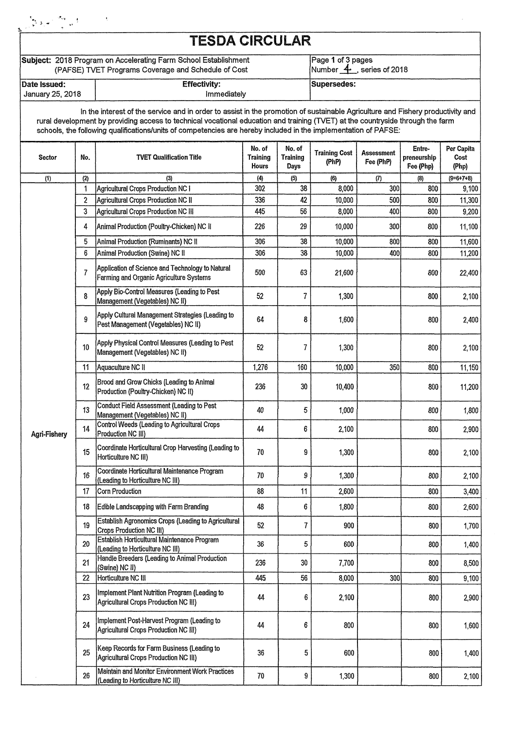| ్నికి సిని                       |                                                                                                                                                                                                                                                      |  |  |
|----------------------------------|------------------------------------------------------------------------------------------------------------------------------------------------------------------------------------------------------------------------------------------------------|--|--|
|                                  | <b>TESDA CIRCULAR</b><br>Subject: 2018 Program on Accelerating Farm School Establishment<br>Page 1 of 3 pages<br>Number $\overline{4}$ , series of 2018<br>(PAFSE) TVET Programs Coverage and Schedule of Cost<br>Supersedes:<br><b>Effectivity:</b> |  |  |
|                                  |                                                                                                                                                                                                                                                      |  |  |
| Date Issued:<br>January 25, 2018 | Immediately                                                                                                                                                                                                                                          |  |  |

In the interest of the service and in order to assist in the promotion of sustainable Agriculture and Fishery productivity and rural development by providing access to technical vocational education and training (WET) at the countryside through the farm schools, the following qualifications/units of competencies are hereby included in the implementation of **PAFSE:** 

| Sector       | No.                     | <b>TVET Qualification Title</b>                                                             | No. of<br><b>Training</b><br>Hours | No. of<br>Training<br><b>Days</b> | <b>Training Cost</b><br>(PhP) | <b>Assessment</b><br>Fee (PhP) | Entre-<br>preneurship<br>Fee (Php) | Per Capita<br>Cost<br>(Php) |
|--------------|-------------------------|---------------------------------------------------------------------------------------------|------------------------------------|-----------------------------------|-------------------------------|--------------------------------|------------------------------------|-----------------------------|
| (1)          | (2)                     | (3)                                                                                         | $\langle 4 \rangle$                | (5)                               | (6)                           | (7)                            | (8)                                | $(9=6+7+8)$                 |
|              | 1                       | Agricultural Crops Production NC I                                                          | 302                                | 38                                | 8,000                         | 300                            | 800                                | 9,100                       |
|              | $\overline{\mathbf{c}}$ | <b>Agricultural Crops Production NC II</b>                                                  | 336                                | 42                                | 10,000                        | 500                            | 800                                | 11,300                      |
|              | 3                       | Agricultural Crops Production NC III                                                        | 445                                | 56                                | 8,000                         | 400                            | 800                                | 9,200                       |
|              | 4                       | Animal Production (Poultry-Chicken) NC II                                                   | 226                                | 29                                | 10,000                        | 300                            | 800                                | 11,100                      |
|              | 5                       | Animal Production (Ruminants) NC II                                                         | 306                                | 38                                | 10,000                        | 800                            | 800                                | 11,600                      |
|              | 6                       | Animal Production (Swine) NC II                                                             | 306                                | 38                                | 10,000                        | 400                            | 800                                | 11,200                      |
|              | 7                       | Application of Science and Technology to Natural<br>Farming and Organic Agriculture Systems | 500                                | 63                                | 21,600                        |                                | 800                                | 22,400                      |
|              | 8                       | Apply Bio-Control Measures (Leading to Pest<br>Management (Vegetables) NC II)               | 52                                 | 7                                 | 1,300                         |                                | 800                                | 2,100                       |
|              | 9                       | Apply Cultural Management Strategies (Leading to<br>Pest Management (Vegetables) NC II)     | 64                                 | 8                                 | 1,600                         |                                | 800                                | 2,400                       |
|              | 10                      | Apply Physical Control Measures (Leading to Pest<br>Management (Vegetables) NC II)          | 52                                 | 7                                 | 1,300                         |                                | 800                                | 2,100                       |
|              | 11                      | Aquaculture NC II                                                                           | 1,276                              | 160                               | 10,000                        | 350                            | 800                                | 11,150                      |
|              | 12                      | Brood and Grow Chicks (Leading to Animal<br>Production (Poultry-Chicken) NC II)             | 236                                | 30                                | 10,400                        |                                | 800                                | 11,200                      |
|              | 13                      | Conduct Field Assessment (Leading to Pest<br>Management (Vegetables) NC II)                 | 40                                 | 5                                 | 1,000                         |                                | 800                                | 1,800                       |
| Agri-Fishery | 14                      | Control Weeds (Leading to Agricultural Crops<br>Production NC III)                          | 44                                 | 6                                 | 2,100                         |                                | 800                                | 2,900                       |
|              | 15                      | Coordinate Horticultural Crop Harvesting (Leading to<br>Horticulture NC III)                | 70                                 | 9                                 | 1,300                         |                                | 800                                | 2,100                       |
|              | 16                      | Coordinate Horticultural Maintenance Program<br>(Leading to Horticulture NC III)            | 70                                 | 9                                 | 1,300                         |                                | 800                                | 2,100                       |
|              | 17                      | <b>Corn Production</b>                                                                      | 88                                 | 11                                | 2,600                         |                                | 800                                | 3,400                       |
|              | 18                      | Edible Landscapping with Farm Branding                                                      | 48                                 | 6                                 | 1,800                         |                                | 800                                | 2,600                       |
|              | 19                      | Establish Agronomics Crops (Leading to Agricultural<br>Crops Production NC III)             | 52                                 | 7                                 | 900                           |                                | 800                                | 1,700                       |
|              | 20                      | Establish Horticultural Maintenance Program<br>(Leading to Horticulture NC III)             | 36                                 | 5                                 | 600                           |                                | 800                                | 1,400                       |
|              | 21                      | Handle Breeders (Leading to Animal Production<br>(Swine) NC II)                             | 236                                | 30                                | 7,700                         |                                | 800                                | 8,500                       |
|              | 22                      | Horticulture NC III                                                                         | 445                                | $56\,$                            | 8,000                         | 300                            | 800                                | 9,100                       |
|              | 23                      | Implement Plant Nutrition Program (Leading to<br>Agricultural Crops Production NC III)      | 44                                 | 6                                 | 2,100                         |                                | 800                                | 2,900                       |
|              | 24                      | Implement Post-Harvest Program (Leading to<br>Agricultural Crops Production NC III)         | 44                                 | 6                                 | 800                           |                                | 800                                | 1,600                       |
|              | 25                      | Keep Records for Farm Business (Leading to<br>Agricultural Crops Production NC III)         | 36                                 | 5                                 | 600                           |                                | 800                                | 1,400                       |
|              | 26                      | Maintain and Monitor Environment Work Practices<br>(Leading to Horticulture NC III)         | 70                                 | 9                                 | 1,300                         |                                | 800                                | 2,100                       |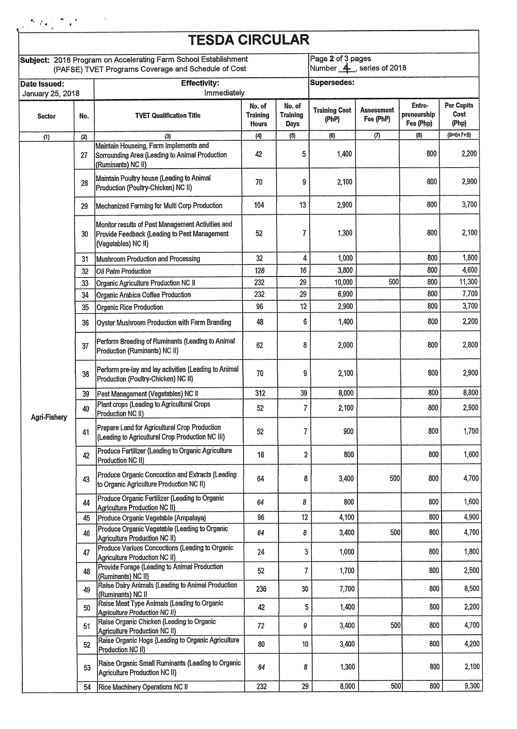|                                                                                                                        |     | <b>TESDA CIRCULAR</b>                                                                                                            |                                    |                                   |                                               |                                |                                    |                             |  |
|------------------------------------------------------------------------------------------------------------------------|-----|----------------------------------------------------------------------------------------------------------------------------------|------------------------------------|-----------------------------------|-----------------------------------------------|--------------------------------|------------------------------------|-----------------------------|--|
| Subject: 2018 Program on Accelerating Farm School Establishment<br>(PAFSE) TVET Programs Coverage and Schedule of Cost |     |                                                                                                                                  |                                    |                                   | Page 2 of 3 pages<br>Number 4. series of 2018 |                                |                                    |                             |  |
| <b>Effectivity:</b><br>Date Issued:<br>Immediately<br>January 25, 2018                                                 |     |                                                                                                                                  |                                    | <b>Supersedes:</b>                |                                               |                                |                                    |                             |  |
| <b>Sector</b>                                                                                                          | No. | <b>TVET Qualification Title</b>                                                                                                  | No, of<br><b>Training</b><br>Hours | No. of<br><b>Training</b><br>Days | <b>Training Cost</b><br>(PhP)                 | <b>Assessment</b><br>Fee (PhP) | Entre-<br>preneurship<br>Fee (Php) | Per Capita<br>Cost<br>(Php) |  |
| (1)                                                                                                                    | (2) | (3)                                                                                                                              | $(4)$                              | (5)                               | (6)                                           | $\left( 7\right)$              | (8)                                | $(9=6+7+8)$                 |  |
|                                                                                                                        | 27  | Maintain Houseing, Farm Implements and<br>Sorrounding Area (Leading to Animal Production<br>(Ruminants) NC II)                   | 42                                 | 5                                 | 1,400                                         |                                | 800                                | 2,200                       |  |
|                                                                                                                        | 28  | Maintain Poultry house (Leading to Animal<br>Production (Poultry-Chicken) NC II)                                                 | 70                                 | 9                                 | 2,100                                         |                                | 800                                | 2,900                       |  |
|                                                                                                                        | 29  | Mechanized Farming for Multi Corp Production                                                                                     | 104                                | 13                                | 2,900                                         |                                | 800                                | 3,700                       |  |
|                                                                                                                        | 30  | Monitor results of Pest Management Activities and<br>Provide Feedback (Leading to Pest Management<br>(Vegetables) NC II)         | 52                                 | 7                                 | 1,300                                         |                                | 800                                | 2,100                       |  |
|                                                                                                                        | 31  | Mushroom Production and Processing                                                                                               | 32                                 | 4                                 | 1,000                                         |                                | 800                                | 1,800                       |  |
|                                                                                                                        | 32  | Oil Palm Production                                                                                                              | 128                                | 16                                | 3,800                                         |                                | 800                                | 4,600                       |  |
|                                                                                                                        | 33  | Organic Agriculture Production NC II                                                                                             | 232                                | 29                                | 10,000                                        | 500                            | 800                                | 11,300                      |  |
|                                                                                                                        | 34  | Organic Arabica Coffee Production                                                                                                | 232                                | 29                                | 6,900                                         |                                | 800                                | 7,700                       |  |
|                                                                                                                        | 35  | Organic Rice Production                                                                                                          | 96                                 | 12                                | 2,900                                         |                                | 800                                | 3,700                       |  |
|                                                                                                                        | 36  | Oyster Mushroom Production with Farm Branding                                                                                    | 48                                 | 6                                 | 1,400                                         |                                | 800                                | 2,200                       |  |
|                                                                                                                        | 37  | Perform Breeding of Ruminants (Leading to Animal<br>Production (Ruminants) NC II)                                                | 62                                 | 8                                 | 2,000                                         |                                | 800                                | 2,800                       |  |
|                                                                                                                        | 38  | Perform pre-lay and lay activities (Leading to Animal<br>Production (Poultry-Chicken) NC II)                                     | 70                                 | 9                                 | 2,100                                         |                                | 800                                | 2,900                       |  |
|                                                                                                                        | 39  | Pest Management (Vegetables) NC II                                                                                               | 312                                | 39                                | 8,000                                         |                                | 800                                | 8,800                       |  |
| Agri-Fishery                                                                                                           | 40  | Plant crops (Leading to Agricultural Crops<br>Production NC II)                                                                  | 52                                 | 7                                 | 2,100                                         |                                | 800                                | 2,900                       |  |
|                                                                                                                        | 41  | Prepare Land for Agricultural Crop Production<br>(Leading to Agricultural Crop Production NC III)                                | 52                                 | 7                                 | 900                                           |                                | 800                                | 1,700                       |  |
|                                                                                                                        | 42  | Produce Fertilizer (Leading to Organic Agriculture<br>Production NC II)                                                          | 18                                 | $\boldsymbol{2}$                  | 800                                           |                                | 800                                | 1,600                       |  |
|                                                                                                                        | 43  | Produce Organic Concoction and Extracts (Leading<br>to Organic Agriculture Production NC II)                                     | 64                                 | 8                                 | 3,400                                         | 500                            | 800                                | 4,700                       |  |
|                                                                                                                        | 44  | Produce Organic Fertilizer (Leading to Organic<br>Agriculture Production NC II)                                                  | 64                                 | 8                                 | 800                                           |                                | 800                                | 1,600                       |  |
|                                                                                                                        | 45  | Produce Organic Vegetable (Ampalaya)                                                                                             | 96                                 | 12                                | 4,100                                         |                                | 800                                | 4,900                       |  |
|                                                                                                                        | 46  | Produce Organic Vegetable (Leading to Organic<br>Agriculture Production NC II)                                                   | 64                                 | 8                                 | 3,400                                         | 500                            | 800                                | 4,700                       |  |
|                                                                                                                        | 47  | Produce Variuos Concoctions (Leading to Organic<br>Agriculture Production NC II)<br>Provide Forage (Leading to Animal Production | 24                                 | 3                                 | 1,000                                         |                                | 800                                | 1,800                       |  |
|                                                                                                                        | 48  | (Ruminants) NC II)                                                                                                               | 52                                 | 7                                 | 1,700                                         |                                | 800                                | 2,500                       |  |
|                                                                                                                        | 49  | Raise Dairy Animals (Leading to Animal Production<br>(Ruminants) NC II                                                           | 236                                | 30                                | 7,700                                         |                                | 800                                | 8,500                       |  |
|                                                                                                                        | 50  | Raise Meat Type Animals (Leading to Organic<br>Agriculture Production NC II}                                                     | 42                                 | 5                                 | 1,400                                         |                                | 800                                | 2,200                       |  |
|                                                                                                                        | 51  | Raise Organic Chicken (Leading to Organic<br>Agriculture Production NC II)                                                       | 72                                 | 9                                 | 3,400                                         | 500                            | 800                                | 4,700                       |  |
|                                                                                                                        | 52  | Raise Organic Hogs (Leading to Organic Agriculture<br>Production NC II)                                                          | 80                                 | 10                                | 3,400                                         |                                | 800                                | 4,200                       |  |
|                                                                                                                        | 53  | Raise Organic Small Ruminants (Leading to Organic<br>Agriculture Production NC II)                                               | 64                                 | 8                                 | 1,300                                         |                                | 800                                | 2,100                       |  |
|                                                                                                                        | 54  | Rice Machinery Operations NC II                                                                                                  | 232                                | 29                                | 8,000                                         | 500                            | 800                                | 9,300                       |  |